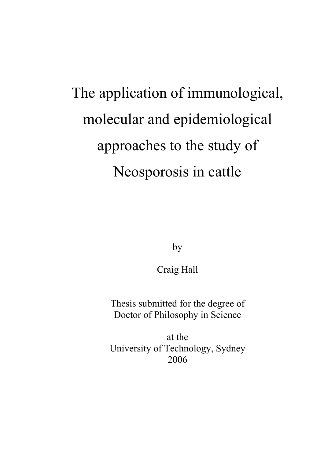# The application of immunological, molecular and epidemiological approaches to the study of Neosporosis in cattle

by

Craig Hall

Thesis submitted for the degree of Doctor of Philosophy in Science

at the University of Technology, Sydney 2006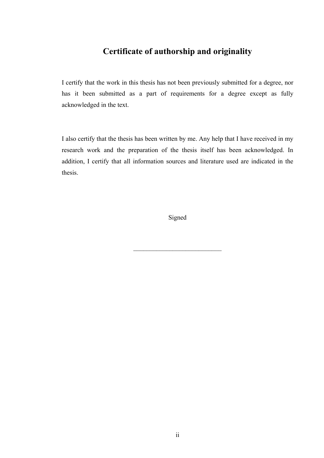#### **Certificate of authorship and originality**

I certify that the work in this thesis has not been previously submitted for a degree, nor has it been submitted as a part of requirements for a degree except as fully acknowledged in the text.

I also certify that the thesis has been written by me. Any help that I have received in my research work and the preparation of the thesis itself has been acknowledged. In addition, I certify that all information sources and literature used are indicated in the thesis.

Signed

 $\mathcal{L}_\text{max}$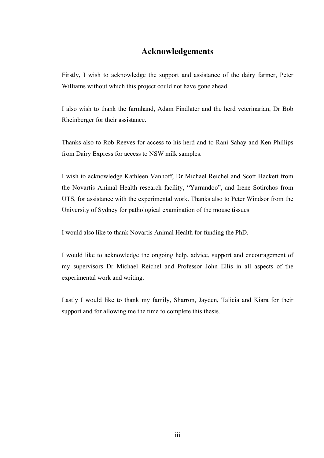#### **Acknowledgements**

Firstly, I wish to acknowledge the support and assistance of the dairy farmer, Peter Williams without which this project could not have gone ahead.

I also wish to thank the farmhand, Adam Findlater and the herd veterinarian, Dr Bob Rheinberger for their assistance.

Thanks also to Rob Reeves for access to his herd and to Rani Sahay and Ken Phillips from Dairy Express for access to NSW milk samples.

I wish to acknowledge Kathleen Vanhoff, Dr Michael Reichel and Scott Hackett from the Novartis Animal Health research facility, "Yarrandoo", and Irene Sotirchos from UTS, for assistance with the experimental work. Thanks also to Peter Windsor from the University of Sydney for pathological examination of the mouse tissues.

I would also like to thank Novartis Animal Health for funding the PhD.

I would like to acknowledge the ongoing help, advice, support and encouragement of my supervisors Dr Michael Reichel and Professor John Ellis in all aspects of the experimental work and writing.

Lastly I would like to thank my family, Sharron, Jayden, Talicia and Kiara for their support and for allowing me the time to complete this thesis.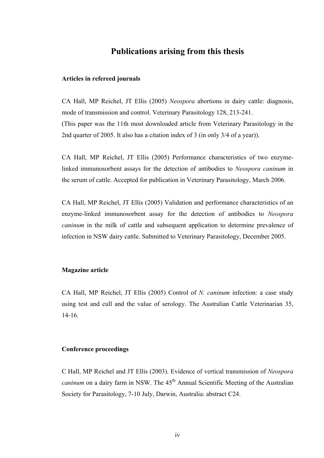#### **Publications arising from this thesis**

#### **Articles in refereed journals**

CA Hall, MP Reichel, JT Ellis (2005) *Neospora* abortions in dairy cattle: diagnosis, mode of transmission and control. Veterinary Parasitology 128, 213-241. (This paper was the 11th most downloaded article from Veterinary Parasitology in the 2nd quarter of 2005. It also has a citation index of 3 (in only 3/4 of a year)).

CA Hall, MP Reichel, JT Ellis (2005) Performance characteristics of two enzymelinked immunosorbent assays for the detection of antibodies to *Neospora caninum* in the serum of cattle. Accepted for publication in Veterinary Parasitology, March 2006.

CA Hall, MP Reichel, JT Ellis (2005) Validation and performance characteristics of an enzyme-linked immunosorbent assay for the detection of antibodies to *Neospora caninum* in the milk of cattle and subsequent application to determine prevalence of infection in NSW dairy cattle. Submitted to Veterinary Parasitology, December 2005.

#### **Magazine article**

CA Hall, MP Reichel, JT Ellis (2005) Control of *N. caninum* infection: a case study using test and cull and the value of serology. The Australian Cattle Veterinarian 35, 14-16.

#### **Conference proceedings**

C Hall, MP Reichel and JT Ellis (2003). Evidence of vertical transmission of *Neospora caninum* on a dairy farm in NSW. The 45<sup>th</sup> Annual Scientific Meeting of the Australian Society for Parasitology, 7-10 July, Darwin, Australia: abstract C24.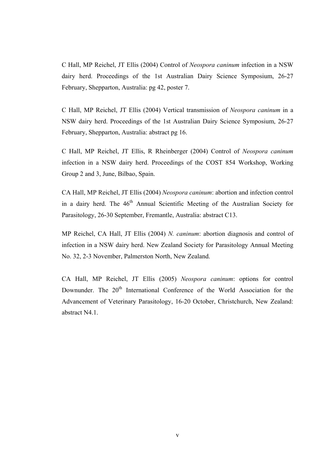C Hall, MP Reichel, JT Ellis (2004) Control of *Neospora caninum* infection in a NSW dairy herd. Proceedings of the 1st Australian Dairy Science Symposium, 26-27 February, Shepparton, Australia: pg 42, poster 7.

C Hall, MP Reichel, JT Ellis (2004) Vertical transmission of *Neospora caninum* in a NSW dairy herd. Proceedings of the 1st Australian Dairy Science Symposium, 26-27 February, Shepparton, Australia: abstract pg 16.

C Hall, MP Reichel, JT Ellis, R Rheinberger (2004) Control of *Neospora caninum* infection in a NSW dairy herd. Proceedings of the COST 854 Workshop, Working Group 2 and 3, June, Bilbao, Spain.

CA Hall, MP Reichel, JT Ellis (2004) *Neospora caninum*: abortion and infection control in a dairy herd. The  $46<sup>th</sup>$  Annual Scientific Meeting of the Australian Society for Parasitology, 26-30 September, Fremantle, Australia: abstract C13.

MP Reichel, CA Hall, JT Ellis (2004) *N. caninum*: abortion diagnosis and control of infection in a NSW dairy herd. New Zealand Society for Parasitology Annual Meeting No. 32, 2-3 November, Palmerston North, New Zealand.

CA Hall, MP Reichel, JT Ellis (2005) *Neospora caninum*: options for control Downunder. The 20<sup>th</sup> International Conference of the World Association for the Advancement of Veterinary Parasitology, 16-20 October, Christchurch, New Zealand: abstract N4.1.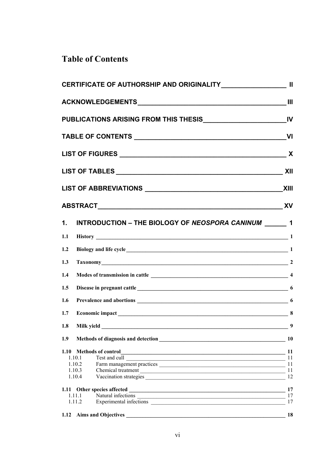## **Table of Contents**

|     |                                                                                              | <b>XII</b> |
|-----|----------------------------------------------------------------------------------------------|------------|
|     |                                                                                              |            |
|     |                                                                                              |            |
|     | 1. INTRODUCTION - THE BIOLOGY OF NEOSPORA CANINUM _______ 1                                  |            |
| 1.1 | History 1                                                                                    |            |
| 1.2 | Biology and life cycle<br><u>1</u>                                                           |            |
| 1.3 |                                                                                              |            |
| 1.4 |                                                                                              |            |
| 1.5 |                                                                                              |            |
| 1.6 |                                                                                              |            |
| 1.7 |                                                                                              |            |
| 1.8 | Milk yield                                                                                   | 9          |
| 1.9 | Methods of diagnosis and detection<br>10                                                     |            |
|     | 1.10 Methods of control<br>1.10 Methods of control<br>11                                     |            |
|     | 1.10.1                                                                                       |            |
|     | 1.10.2<br>1.10.3<br>Chemical treatment 11                                                    |            |
|     | 1.10.4                                                                                       | 12         |
|     | 1.11 Other species affected                                                                  |            |
|     | 1.11.1                                                                                       | 17         |
|     | 1.11.2                                                                                       | 17         |
|     | 1.12 Aims and Objectives<br><u> 1989 - Jan James James Barnett, fransk politik (d. 1989)</u> | 18         |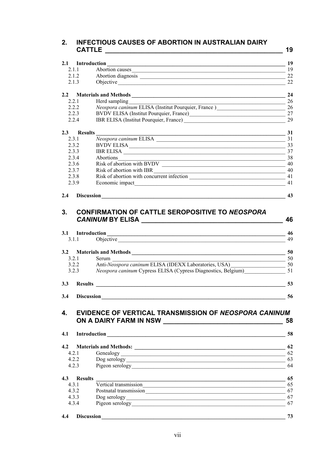#### **2. INFECTIOUS CAUSES OF ABORTION IN AUSTRALIAN DAIRY CATTLE \_\_\_\_\_\_\_\_\_\_\_\_\_\_\_\_\_\_\_\_\_\_\_\_\_\_\_\_\_\_\_\_\_\_\_\_\_\_\_\_\_\_\_\_\_\_\_\_\_ 19**

| 2.1.1<br>2.1.2<br>Abortion diagnosis<br>2.1.3<br>Objective<br>2.2<br>2.2.1<br>Herd sampling<br>the control of the control of the control of the control of the control of<br>Neospora caninum ELISA (Institut Pourquier, France)<br>2.2.2<br>2.2.3<br>BVDV ELISA (Institut Pourquier, France)<br>2.2.4<br>IBR ELISA (Institut Pourquier, France)<br>2.3 Results<br>$\frac{1}{\text{Neospora caninum ELISA}}$ $\frac{31}{31}$<br>2.3.1<br>2.3.2<br>BVDV ELISA 33<br>2.3.3<br>IBR ELISA<br>2.3.4<br>Abortions<br>38<br>2.3.6<br>Risk of abortion with IBR<br>2.3.7<br>$\sim$ 40<br>Risk of abortion with concurrent infection<br>2.3.8<br>2.3.9<br>2.4<br>3.<br><b>CONFIRMATION OF CATTLE SEROPOSITIVE TO NEOSPORA</b><br>3.1.1 Objective 1.1 Objective<br>3.2 Materials and Methods 50<br>3.2.1<br>Serum<br>Anti-Neospora caninum ELISA (IDEXX Laboratories, USA)<br>50<br>3.2.2<br>Neospora caninum Cypress ELISA (Cypress Diagnostics, Belgium) 51<br>3.2.3<br>3.3<br>3.4<br><b>Discussion</b><br><b>EVIDENCE OF VERTICAL TRANSMISSION OF NEOSPORA CANINUM</b><br>$\mathbf{4}$<br>ON A DAIRY FARM IN NSW<br>4.1<br>Introduction<br><u> 1988 - Johann Stein, mars and de Britain (b. 1988)</u><br>4.2<br>4.2.1<br>Genealogy 62<br>4.2.2<br>4.2.3<br>4.3<br><b>Results</b><br><u> 1989 - Johann Stoff, deutscher Stoffen und der Stoffen und der Stoffen und der Stoffen und der Stoffen und der</u><br>Vertical transmission<br>4.3.1<br>4.3.2<br>4.3.3<br>4.3.4<br>4.4 |  |  | 19 |
|-------------------------------------------------------------------------------------------------------------------------------------------------------------------------------------------------------------------------------------------------------------------------------------------------------------------------------------------------------------------------------------------------------------------------------------------------------------------------------------------------------------------------------------------------------------------------------------------------------------------------------------------------------------------------------------------------------------------------------------------------------------------------------------------------------------------------------------------------------------------------------------------------------------------------------------------------------------------------------------------------------------------------------------------------------------------------------------------------------------------------------------------------------------------------------------------------------------------------------------------------------------------------------------------------------------------------------------------------------------------------------------------------------------------------------------------------------------------------|--|--|----|
|                                                                                                                                                                                                                                                                                                                                                                                                                                                                                                                                                                                                                                                                                                                                                                                                                                                                                                                                                                                                                                                                                                                                                                                                                                                                                                                                                                                                                                                                         |  |  | 19 |
|                                                                                                                                                                                                                                                                                                                                                                                                                                                                                                                                                                                                                                                                                                                                                                                                                                                                                                                                                                                                                                                                                                                                                                                                                                                                                                                                                                                                                                                                         |  |  | 22 |
|                                                                                                                                                                                                                                                                                                                                                                                                                                                                                                                                                                                                                                                                                                                                                                                                                                                                                                                                                                                                                                                                                                                                                                                                                                                                                                                                                                                                                                                                         |  |  | 22 |
|                                                                                                                                                                                                                                                                                                                                                                                                                                                                                                                                                                                                                                                                                                                                                                                                                                                                                                                                                                                                                                                                                                                                                                                                                                                                                                                                                                                                                                                                         |  |  |    |
|                                                                                                                                                                                                                                                                                                                                                                                                                                                                                                                                                                                                                                                                                                                                                                                                                                                                                                                                                                                                                                                                                                                                                                                                                                                                                                                                                                                                                                                                         |  |  | 24 |
|                                                                                                                                                                                                                                                                                                                                                                                                                                                                                                                                                                                                                                                                                                                                                                                                                                                                                                                                                                                                                                                                                                                                                                                                                                                                                                                                                                                                                                                                         |  |  | 26 |
|                                                                                                                                                                                                                                                                                                                                                                                                                                                                                                                                                                                                                                                                                                                                                                                                                                                                                                                                                                                                                                                                                                                                                                                                                                                                                                                                                                                                                                                                         |  |  | 26 |
|                                                                                                                                                                                                                                                                                                                                                                                                                                                                                                                                                                                                                                                                                                                                                                                                                                                                                                                                                                                                                                                                                                                                                                                                                                                                                                                                                                                                                                                                         |  |  | 27 |
|                                                                                                                                                                                                                                                                                                                                                                                                                                                                                                                                                                                                                                                                                                                                                                                                                                                                                                                                                                                                                                                                                                                                                                                                                                                                                                                                                                                                                                                                         |  |  | 29 |
|                                                                                                                                                                                                                                                                                                                                                                                                                                                                                                                                                                                                                                                                                                                                                                                                                                                                                                                                                                                                                                                                                                                                                                                                                                                                                                                                                                                                                                                                         |  |  |    |
|                                                                                                                                                                                                                                                                                                                                                                                                                                                                                                                                                                                                                                                                                                                                                                                                                                                                                                                                                                                                                                                                                                                                                                                                                                                                                                                                                                                                                                                                         |  |  |    |
|                                                                                                                                                                                                                                                                                                                                                                                                                                                                                                                                                                                                                                                                                                                                                                                                                                                                                                                                                                                                                                                                                                                                                                                                                                                                                                                                                                                                                                                                         |  |  |    |
|                                                                                                                                                                                                                                                                                                                                                                                                                                                                                                                                                                                                                                                                                                                                                                                                                                                                                                                                                                                                                                                                                                                                                                                                                                                                                                                                                                                                                                                                         |  |  | 37 |
|                                                                                                                                                                                                                                                                                                                                                                                                                                                                                                                                                                                                                                                                                                                                                                                                                                                                                                                                                                                                                                                                                                                                                                                                                                                                                                                                                                                                                                                                         |  |  |    |
|                                                                                                                                                                                                                                                                                                                                                                                                                                                                                                                                                                                                                                                                                                                                                                                                                                                                                                                                                                                                                                                                                                                                                                                                                                                                                                                                                                                                                                                                         |  |  |    |
|                                                                                                                                                                                                                                                                                                                                                                                                                                                                                                                                                                                                                                                                                                                                                                                                                                                                                                                                                                                                                                                                                                                                                                                                                                                                                                                                                                                                                                                                         |  |  |    |
|                                                                                                                                                                                                                                                                                                                                                                                                                                                                                                                                                                                                                                                                                                                                                                                                                                                                                                                                                                                                                                                                                                                                                                                                                                                                                                                                                                                                                                                                         |  |  |    |
|                                                                                                                                                                                                                                                                                                                                                                                                                                                                                                                                                                                                                                                                                                                                                                                                                                                                                                                                                                                                                                                                                                                                                                                                                                                                                                                                                                                                                                                                         |  |  | 41 |
|                                                                                                                                                                                                                                                                                                                                                                                                                                                                                                                                                                                                                                                                                                                                                                                                                                                                                                                                                                                                                                                                                                                                                                                                                                                                                                                                                                                                                                                                         |  |  | 41 |
|                                                                                                                                                                                                                                                                                                                                                                                                                                                                                                                                                                                                                                                                                                                                                                                                                                                                                                                                                                                                                                                                                                                                                                                                                                                                                                                                                                                                                                                                         |  |  | 43 |
|                                                                                                                                                                                                                                                                                                                                                                                                                                                                                                                                                                                                                                                                                                                                                                                                                                                                                                                                                                                                                                                                                                                                                                                                                                                                                                                                                                                                                                                                         |  |  | 46 |
|                                                                                                                                                                                                                                                                                                                                                                                                                                                                                                                                                                                                                                                                                                                                                                                                                                                                                                                                                                                                                                                                                                                                                                                                                                                                                                                                                                                                                                                                         |  |  | 46 |
|                                                                                                                                                                                                                                                                                                                                                                                                                                                                                                                                                                                                                                                                                                                                                                                                                                                                                                                                                                                                                                                                                                                                                                                                                                                                                                                                                                                                                                                                         |  |  | 49 |
|                                                                                                                                                                                                                                                                                                                                                                                                                                                                                                                                                                                                                                                                                                                                                                                                                                                                                                                                                                                                                                                                                                                                                                                                                                                                                                                                                                                                                                                                         |  |  |    |
|                                                                                                                                                                                                                                                                                                                                                                                                                                                                                                                                                                                                                                                                                                                                                                                                                                                                                                                                                                                                                                                                                                                                                                                                                                                                                                                                                                                                                                                                         |  |  |    |
|                                                                                                                                                                                                                                                                                                                                                                                                                                                                                                                                                                                                                                                                                                                                                                                                                                                                                                                                                                                                                                                                                                                                                                                                                                                                                                                                                                                                                                                                         |  |  |    |
|                                                                                                                                                                                                                                                                                                                                                                                                                                                                                                                                                                                                                                                                                                                                                                                                                                                                                                                                                                                                                                                                                                                                                                                                                                                                                                                                                                                                                                                                         |  |  |    |
|                                                                                                                                                                                                                                                                                                                                                                                                                                                                                                                                                                                                                                                                                                                                                                                                                                                                                                                                                                                                                                                                                                                                                                                                                                                                                                                                                                                                                                                                         |  |  |    |
|                                                                                                                                                                                                                                                                                                                                                                                                                                                                                                                                                                                                                                                                                                                                                                                                                                                                                                                                                                                                                                                                                                                                                                                                                                                                                                                                                                                                                                                                         |  |  | 53 |
|                                                                                                                                                                                                                                                                                                                                                                                                                                                                                                                                                                                                                                                                                                                                                                                                                                                                                                                                                                                                                                                                                                                                                                                                                                                                                                                                                                                                                                                                         |  |  |    |
|                                                                                                                                                                                                                                                                                                                                                                                                                                                                                                                                                                                                                                                                                                                                                                                                                                                                                                                                                                                                                                                                                                                                                                                                                                                                                                                                                                                                                                                                         |  |  | 56 |
|                                                                                                                                                                                                                                                                                                                                                                                                                                                                                                                                                                                                                                                                                                                                                                                                                                                                                                                                                                                                                                                                                                                                                                                                                                                                                                                                                                                                                                                                         |  |  | 58 |
|                                                                                                                                                                                                                                                                                                                                                                                                                                                                                                                                                                                                                                                                                                                                                                                                                                                                                                                                                                                                                                                                                                                                                                                                                                                                                                                                                                                                                                                                         |  |  | 58 |
|                                                                                                                                                                                                                                                                                                                                                                                                                                                                                                                                                                                                                                                                                                                                                                                                                                                                                                                                                                                                                                                                                                                                                                                                                                                                                                                                                                                                                                                                         |  |  | 62 |
|                                                                                                                                                                                                                                                                                                                                                                                                                                                                                                                                                                                                                                                                                                                                                                                                                                                                                                                                                                                                                                                                                                                                                                                                                                                                                                                                                                                                                                                                         |  |  |    |
|                                                                                                                                                                                                                                                                                                                                                                                                                                                                                                                                                                                                                                                                                                                                                                                                                                                                                                                                                                                                                                                                                                                                                                                                                                                                                                                                                                                                                                                                         |  |  |    |
|                                                                                                                                                                                                                                                                                                                                                                                                                                                                                                                                                                                                                                                                                                                                                                                                                                                                                                                                                                                                                                                                                                                                                                                                                                                                                                                                                                                                                                                                         |  |  | 63 |
|                                                                                                                                                                                                                                                                                                                                                                                                                                                                                                                                                                                                                                                                                                                                                                                                                                                                                                                                                                                                                                                                                                                                                                                                                                                                                                                                                                                                                                                                         |  |  | 64 |
|                                                                                                                                                                                                                                                                                                                                                                                                                                                                                                                                                                                                                                                                                                                                                                                                                                                                                                                                                                                                                                                                                                                                                                                                                                                                                                                                                                                                                                                                         |  |  | 65 |
|                                                                                                                                                                                                                                                                                                                                                                                                                                                                                                                                                                                                                                                                                                                                                                                                                                                                                                                                                                                                                                                                                                                                                                                                                                                                                                                                                                                                                                                                         |  |  | 65 |
|                                                                                                                                                                                                                                                                                                                                                                                                                                                                                                                                                                                                                                                                                                                                                                                                                                                                                                                                                                                                                                                                                                                                                                                                                                                                                                                                                                                                                                                                         |  |  |    |
|                                                                                                                                                                                                                                                                                                                                                                                                                                                                                                                                                                                                                                                                                                                                                                                                                                                                                                                                                                                                                                                                                                                                                                                                                                                                                                                                                                                                                                                                         |  |  |    |
|                                                                                                                                                                                                                                                                                                                                                                                                                                                                                                                                                                                                                                                                                                                                                                                                                                                                                                                                                                                                                                                                                                                                                                                                                                                                                                                                                                                                                                                                         |  |  | 67 |
|                                                                                                                                                                                                                                                                                                                                                                                                                                                                                                                                                                                                                                                                                                                                                                                                                                                                                                                                                                                                                                                                                                                                                                                                                                                                                                                                                                                                                                                                         |  |  |    |
|                                                                                                                                                                                                                                                                                                                                                                                                                                                                                                                                                                                                                                                                                                                                                                                                                                                                                                                                                                                                                                                                                                                                                                                                                                                                                                                                                                                                                                                                         |  |  | 73 |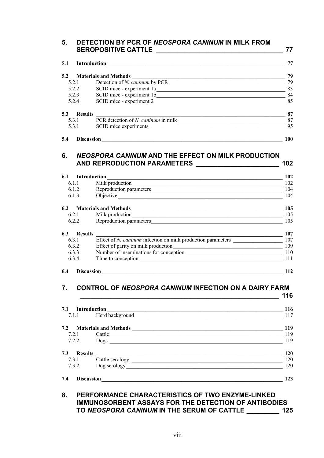| 5.1   | Introduction<br><u> 1980 - Jan Samuel Barbara, margaret e populari e programma e a segundar de la programma de la programma de l</u> |     |
|-------|--------------------------------------------------------------------------------------------------------------------------------------|-----|
|       |                                                                                                                                      |     |
| 5.2.1 | Detection of N. caninum by PCR                                                                                                       |     |
|       | 5.2.2                                                                                                                                |     |
|       | 5.2.3                                                                                                                                |     |
|       | SCID mice - experiment 2<br>5.2.4                                                                                                    |     |
| 5.3   | <b>Results</b>                                                                                                                       |     |
|       | 5.3.1                                                                                                                                |     |
|       | 5.3.1                                                                                                                                |     |
| 5.4   | <b>Discussion</b>                                                                                                                    | 100 |

| 6.1.1                 | Milk production                                              |  |
|-----------------------|--------------------------------------------------------------|--|
| 6.1.2                 | Reproduction parameters                                      |  |
| 6.1.3                 | Objective                                                    |  |
| 6.2                   | <b>Materials and Methods</b>                                 |  |
| 6.2.1                 | Milk production                                              |  |
| 6.2.2                 | Reproduction parameters                                      |  |
| 6.3<br><b>Results</b> |                                                              |  |
| 6.3.1                 | Effect of N. caninum infection on milk production parameters |  |
| 6.3.2                 | Effect of parity on milk production                          |  |
|                       | Number of inseminations for conception                       |  |
| 6.3.3                 |                                                              |  |

#### **7. CONTROL OF** *NEOSPORA CANINUM* **INFECTION ON A DAIRY FARM \_\_\_\_\_\_\_\_\_\_\_\_\_\_\_\_\_\_\_\_\_\_\_\_\_\_\_\_\_\_\_\_\_\_\_\_\_\_\_\_\_\_\_\_\_\_\_\_\_\_\_\_\_\_\_ 116**

|                       | 7.1.1 Herd background     | 117        |
|-----------------------|---------------------------|------------|
|                       | 7.2 Materials and Methods | 119        |
| 7.2.1                 | Cattle                    | 119        |
| 7.2.2                 | Dogs                      | 119        |
| 7.3<br><b>Results</b> |                           | <b>120</b> |
| 7.3.1                 | Cattle serology           | 120        |
| 7.3.2                 | Dog serology              | 120        |

#### **8. PERFORMANCE CHARACTERISTICS OF TWO ENZYME-LINKED IMMUNOSORBENT ASSAYS FOR THE DETECTION OF ANTIBODIES TO** *NEOSPORA CANINUM* **IN THE SERUM OF CATTLE \_\_\_\_\_\_\_\_\_ 125**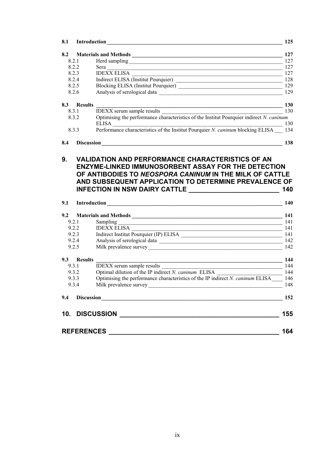| 8.1            | Introduction                                                                                                                                                                               | 125               |
|----------------|--------------------------------------------------------------------------------------------------------------------------------------------------------------------------------------------|-------------------|
| 8.2            |                                                                                                                                                                                            | 127               |
| 8.2.1          |                                                                                                                                                                                            | 127               |
| 8.2.2          |                                                                                                                                                                                            | 127               |
| 8.2.3          |                                                                                                                                                                                            |                   |
| 8.2.4          | IDEXX ELISA<br>Indirect ELISA (Institut Pourquier) 127<br>128                                                                                                                              |                   |
| 8.2.5          | Blocking ELISA (Institut Pourquier) 129                                                                                                                                                    |                   |
| 8.2.6          |                                                                                                                                                                                            | 129               |
| 8.3 Results    | $\sim$ 130                                                                                                                                                                                 |                   |
| 8.3.1          | IDEXX serum sample results 13<br>Optimising the performance characteristics of the Institut Pourquier indirect N. caninum                                                                  | 130               |
| 8.3.2          | $ELISA$ 130                                                                                                                                                                                |                   |
| 8.3.3          | Performance characteristics of the Institut Pourquier N. caninum blocking ELISA 134                                                                                                        |                   |
| 8.4            |                                                                                                                                                                                            | 138               |
| 9.1            | AND SUBSEQUENT APPLICATION TO DETERMINE PREVALENCE OF<br>INFECTION IN NSW DAIRY CATTLE ________________________                                                                            | 140<br><b>140</b> |
|                |                                                                                                                                                                                            |                   |
| 9.2            |                                                                                                                                                                                            |                   |
| 9.2.1          | Sampling 141                                                                                                                                                                               |                   |
| 9.2.2          | IDEXX ELISA<br>$\frac{1}{4}$ 141                                                                                                                                                           |                   |
| 9.2.3<br>9.2.4 |                                                                                                                                                                                            |                   |
| 9.2.5          | Milk prevalence survey 142                                                                                                                                                                 |                   |
| 9.3 Results    |                                                                                                                                                                                            | 144               |
| 9.3.1          | <u> 1989 - Johann Stoff, deutscher Stoffen und der Stoffen und der Stoffen und der Stoffen und der Stoffen und der</u><br>$\overline{\phantom{a}144}$<br><b>IDEXX</b> serum sample results |                   |
| 9.3.2          |                                                                                                                                                                                            |                   |
| 9.3.3          | Optimising the performance characteristics of the IP indirect N. caninum ELISA 146                                                                                                         |                   |
| 9.3.4          |                                                                                                                                                                                            | 148               |
| 9.4            | Discussion 152                                                                                                                                                                             |                   |
|                |                                                                                                                                                                                            | 155               |
|                |                                                                                                                                                                                            |                   |
|                |                                                                                                                                                                                            | 164               |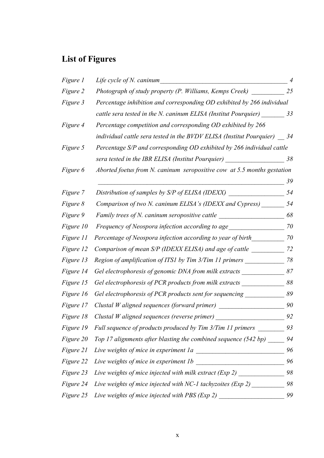# **List of Figures**

| <i>Figure 1</i> | Life cycle of N. caninum                                                | $\overline{4}$ |
|-----------------|-------------------------------------------------------------------------|----------------|
| Figure 2        | Photograph of study property (P. Williams, Kemps Creek)                 | 25             |
| Figure 3        | Percentage inhibition and corresponding OD exhibited by 266 individual  |                |
|                 | cattle sera tested in the N. caninum ELISA (Institut Pourquier)         | 33             |
| Figure 4        | Percentage competition and corresponding OD exhibited by 266            |                |
|                 | individual cattle sera tested in the BVDV ELISA (Institut Pourquier)    | 34             |
| Figure 5        | Percentage S/P and corresponding OD exhibited by 266 individual cattle  |                |
|                 | sera tested in the IBR ELISA (Institut Pourquier)                       | 38             |
| Figure 6        | Aborted foetus from N. caninum seropositive cow at 5.5 months gestation |                |
|                 |                                                                         | 39             |
| Figure 7        | Distribution of samples by S/P of ELISA (IDEXX)                         | 54             |
| Figure 8        | Comparison of two N. caninum ELISA's (IDEXX and Cypress)                | 54             |
| Figure 9        | Family trees of N. caninum seropositive cattle                          | 68             |
| Figure 10       | Frequency of Neospora infection according to age                        | 70             |
| Figure 11       | Percentage of Neospora infection according to year of birth             | 70             |
| Figure 12       | Comparison of mean S/P (IDEXX ELISA) and age of cattle                  | 72             |
| Figure 13       | Region of amplification of ITS1 by Tim 3/Tim 11 primers                 | 78             |
| Figure 14       | Gel electrophoresis of genomic DNA from milk extracts                   | 87             |
| Figure 15       | Gel electrophoresis of PCR products from milk extracts                  | 88             |
| Figure 16       | Gel electrophoresis of PCR products sent for sequencing                 | 89             |
| Figure 17       | Clustal W aligned sequences (forward primer)                            | 90             |
| Figure 18       | Clustal W aligned sequences (reverse primer)                            | 92             |
| Figure 19       | Full sequence of products produced by Tim 3/Tim 11 primers              | 93             |
| Figure 20       | Top 17 alignments after blasting the combined sequence (542 bp)         | 94             |
| Figure 21       | Live weights of mice in experiment 1a                                   | 96             |
| Figure 22       | Live weights of mice in experiment 1b                                   | 96             |
| Figure 23       | Live weights of mice injected with milk extract (Exp 2)                 | 98             |
| Figure 24       | Live weights of mice injected with NC-1 tachyzoites (Exp 2)             | 98             |
| Figure 25       | Live weights of mice injected with PBS (Exp 2)                          | 99             |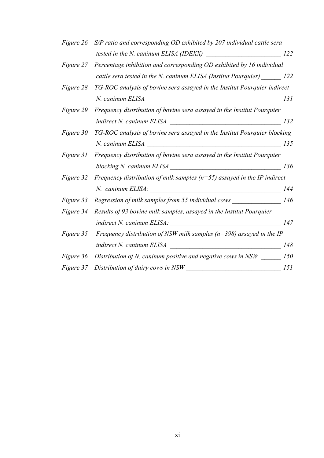|                  | Figure 26 S/P ratio and corresponding OD exhibited by 207 individual cattle sera |     |
|------------------|----------------------------------------------------------------------------------|-----|
|                  |                                                                                  |     |
|                  | Figure 27 Percentage inhibition and corresponding OD exhibited by 16 individual  |     |
|                  | cattle sera tested in the N. caninum ELISA (Institut Pourquier) 122              |     |
| <i>Figure 28</i> | TG-ROC analysis of bovine sera assayed in the Institut Pourquier indirect        |     |
|                  | $N.$ caninum ELISA $\overline{\phantom{a}}$                                      | 131 |
| Figure 29        | Frequency distribution of bovine sera assayed in the Institut Pourquier          |     |
|                  |                                                                                  |     |
| <i>Figure 30</i> | TG-ROC analysis of bovine sera assayed in the Institut Pourquier blocking        |     |
|                  | N. caninum ELISA<br><u> 1980 - Johann Stoff, fransk politik (d. 1980)</u>        | 135 |
| Figure 31        | Frequency distribution of bovine sera assayed in the Institut Pourquier          |     |
|                  |                                                                                  | 136 |
| Figure 32        | Frequency distribution of milk samples ( $n=55$ ) assayed in the IP indirect     |     |
|                  |                                                                                  | 144 |
| Figure 33        | Regression of milk samples from 55 individual cows                               | 146 |
| Figure 34        | Results of 93 bovine milk samples, assayed in the Institut Pourquier             |     |
|                  |                                                                                  | 147 |
| Figure 35        | Frequency distribution of NSW milk samples ( $n=398$ ) assayed in the IP         |     |
|                  |                                                                                  | 148 |
| Figure 36        |                                                                                  | 150 |
| <i>Figure</i> 37 | Distribution of dairy cows in NSW                                                | 151 |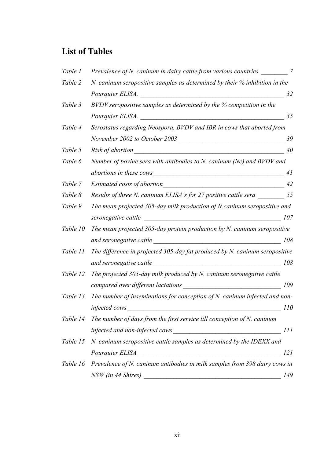### **List of Tables**

| Table 1  | Prevalence of N. caninum in dairy cattle from various countries                                                                                        | 7          |
|----------|--------------------------------------------------------------------------------------------------------------------------------------------------------|------------|
| Table 2  | N. caninum seropositive samples as determined by their $\%$ inhibition in the                                                                          |            |
|          | Pourquier ELISA.                                                                                                                                       | 32         |
| Table 3  | BVDV seropositive samples as determined by the % competition in the                                                                                    |            |
|          | Pourquier ELISA.                                                                                                                                       | 35         |
| Table 4  | Serostatus regarding Neospora, BVDV and IBR in cows that aborted from                                                                                  |            |
|          | November 2002 to October 2003                                                                                                                          | 39         |
| Table 5  | Risk of abortion                                                                                                                                       | 40         |
| Table 6  | Number of bovine sera with antibodies to N. caninum (Nc) and BVDV and                                                                                  |            |
|          | abortions in these cows                                                                                                                                | 41         |
| Table 7  | Estimated costs of abortion                                                                                                                            | 42         |
| Table 8  | Results of three N. caninum ELISA's for 27 positive cattle sera                                                                                        | 55         |
| Table 9  | The mean projected 305-day milk production of N. caninum seropositive and                                                                              |            |
|          | seronegative cattle                                                                                                                                    | 107        |
| Table 10 | The mean projected $305$ -day protein production by N. caninum seropositive                                                                            |            |
|          | and seronegative cattle                                                                                                                                | 108        |
| Table 11 | The difference in projected 305-day fat produced by N. caninum seropositive                                                                            |            |
|          | and seronegative cattle                                                                                                                                | 108        |
| Table 12 | The projected 305-day milk produced by N. caninum seronegative cattle                                                                                  |            |
|          | compared over different lactations                                                                                                                     | 109        |
| Table 13 | The number of inseminations for conception of N. caninum infected and non-                                                                             |            |
|          | <i>infected cows</i>                                                                                                                                   | <i>110</i> |
| Table 14 | The number of days from the first service till conception of $N$ . caninum                                                                             |            |
|          | infected and non-infected cows<br><u> 1980 - Jan Stein Stein Stein Stein Stein Stein Stein Stein Stein Stein Stein Stein Stein Stein Stein Stein S</u> | 111        |
| Table 15 | N. caninum seropositive cattle samples as determined by the IDEXX and                                                                                  |            |
|          | Pourquier ELISA                                                                                                                                        | 121        |
| Table 16 | Prevalence of N. caninum antibodies in milk samples from 398 dairy cows in                                                                             |            |
|          | NSW (in 44 Shires)                                                                                                                                     | 149        |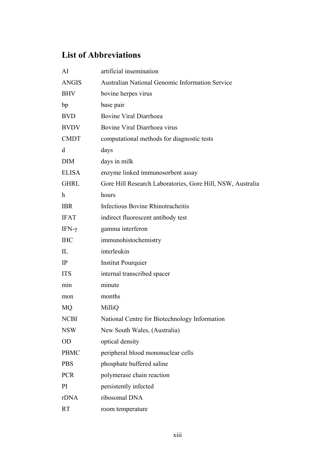# **List of Abbreviations**

| AI           | artificial insemination                                    |
|--------------|------------------------------------------------------------|
| <b>ANGIS</b> | <b>Australian National Genomic Information Service</b>     |
| <b>BHV</b>   | bovine herpes virus                                        |
| bp           | base pair                                                  |
| <b>BVD</b>   | <b>Bovine Viral Diarrhoea</b>                              |
| <b>BVDV</b>  | Bovine Viral Diarrhoea virus                               |
| <b>CMDT</b>  | computational methods for diagnostic tests                 |
| d            | days                                                       |
| <b>DIM</b>   | days in milk                                               |
| <b>ELISA</b> | enzyme linked immunosorbent assay                          |
| <b>GHRL</b>  | Gore Hill Research Laboratories, Gore Hill, NSW, Australia |
| h            | hours                                                      |
| <b>IBR</b>   | <b>Infectious Bovine Rhinotracheitis</b>                   |
| <b>IFAT</b>  | indirect fluorescent antibody test                         |
| IFN-γ        | gamma interferon                                           |
| <b>IHC</b>   | immunohistochemistry                                       |
| $\mathbf{I}$ | interleukin                                                |
| IP           | <b>Institut Pourquier</b>                                  |
| <b>ITS</b>   | internal transcribed spacer                                |
| min          | minute                                                     |
| mon          | months                                                     |
| MQ           | MilliQ                                                     |
| <b>NCBI</b>  | National Centre for Biotechnology Information              |
| <b>NSW</b>   | New South Wales, (Australia)                               |
| <b>OD</b>    | optical density                                            |
| <b>PBMC</b>  | peripheral blood mononuclear cells                         |
| <b>PBS</b>   | phosphate buffered saline                                  |
| <b>PCR</b>   | polymerase chain reaction                                  |
| PI           | persistently infected                                      |
| rDNA         | ribosomal DNA                                              |
| <b>RT</b>    | room temperature                                           |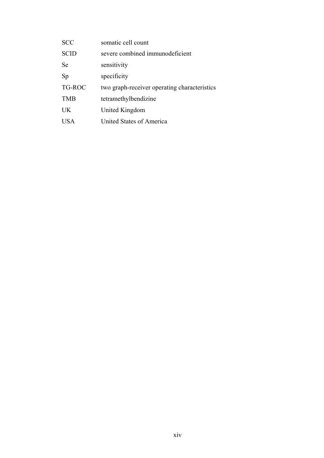| <b>SCC</b>  | somatic cell count                           |
|-------------|----------------------------------------------|
| <b>SCID</b> | severe combined immunodeficient              |
| Se          | sensitivity                                  |
| Sp          | specificity                                  |
| TG-ROC      | two graph-receiver operating characteristics |
| <b>TMB</b>  | tetramethylbendizine                         |
| UK.         | United Kingdom                               |
| USA         | United States of America                     |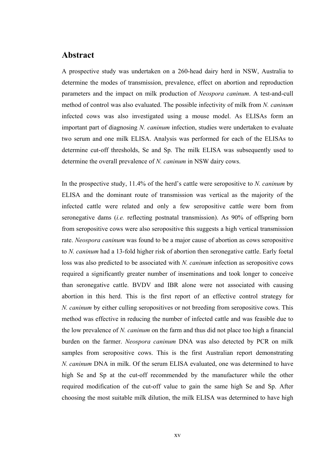#### **Abstract**

A prospective study was undertaken on a 260-head dairy herd in NSW, Australia to determine the modes of transmission, prevalence, effect on abortion and reproduction parameters and the impact on milk production of *Neospora caninum*. A test-and-cull method of control was also evaluated. The possible infectivity of milk from *N. caninum* infected cows was also investigated using a mouse model. As ELISAs form an important part of diagnosing *N. caninum* infection, studies were undertaken to evaluate two serum and one milk ELISA. Analysis was performed for each of the ELISAs to determine cut-off thresholds, Se and Sp. The milk ELISA was subsequently used to determine the overall prevalence of *N. caninum* in NSW dairy cows.

In the prospective study, 11.4% of the herd's cattle were seropositive to *N. caninum* by ELISA and the dominant route of transmission was vertical as the majority of the infected cattle were related and only a few seropositive cattle were born from seronegative dams (*i.e.* reflecting postnatal transmission). As 90% of offspring born from seropositive cows were also seropositive this suggests a high vertical transmission rate. *Neospora caninum* was found to be a major cause of abortion as cows seropositive to *N. caninum* had a 13-fold higher risk of abortion then seronegative cattle. Early foetal loss was also predicted to be associated with *N. caninum* infection as seropositive cows required a significantly greater number of inseminations and took longer to conceive than seronegative cattle. BVDV and IBR alone were not associated with causing abortion in this herd. This is the first report of an effective control strategy for *N. caninum* by either culling seropositives or not breeding from seropositive cows. This method was effective in reducing the number of infected cattle and was feasible due to the low prevalence of *N. caninum* on the farm and thus did not place too high a financial burden on the farmer. *Neospora caninum* DNA was also detected by PCR on milk samples from seropositive cows. This is the first Australian report demonstrating *N. caninum* DNA in milk. Of the serum ELISA evaluated, one was determined to have high Se and Sp at the cut-off recommended by the manufacturer while the other required modification of the cut-off value to gain the same high Se and Sp. After choosing the most suitable milk dilution, the milk ELISA was determined to have high